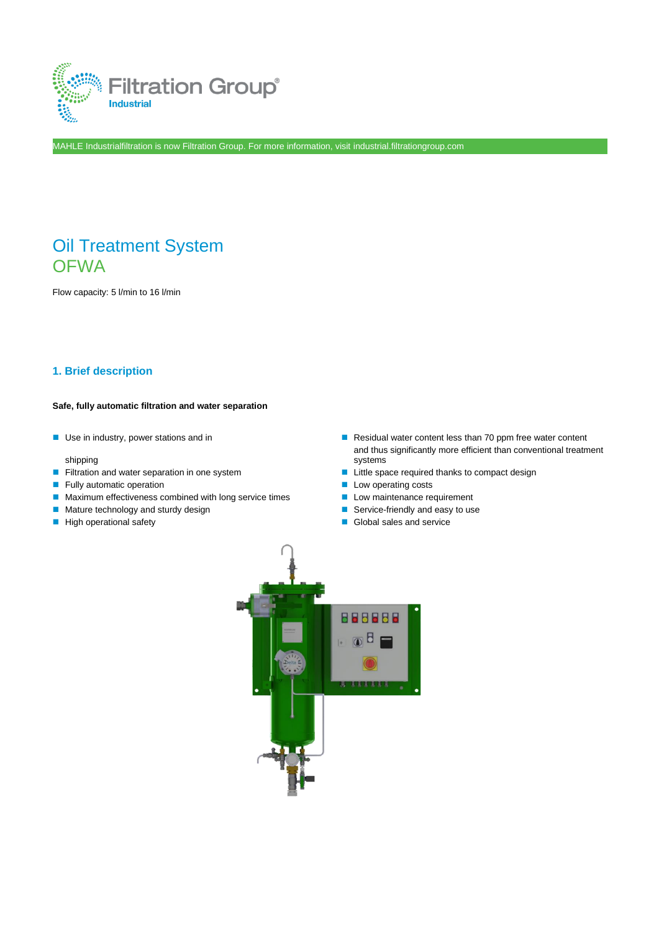

MAHLE Industrialfiltration is now Filtration Group. For more information, visit industrial.filtrationgroup.com

# Oil Treatment System **OFWA**

Flow capacity: 5 l/min to 16 l/min

### **1. Brief description**

#### **Safe, fully automatic filtration and water separation**

shipping

- Filtration and water separation in one system Little space required thanks to compact design
- Fully automatic operation Low operating costs
- Maximum effectiveness combined with long service times Low maintenance requirement
- Mature technology and sturdy design  **Service-friendly and easy to use**
- High operational safety Bigh operational safety Global sales and service
- Use in industry, power stations and in <br>■ Residual water content less than 70 ppm free water content and thus significantly more efficient than conventional treatment systems
	-
	-
	-
	-
	-

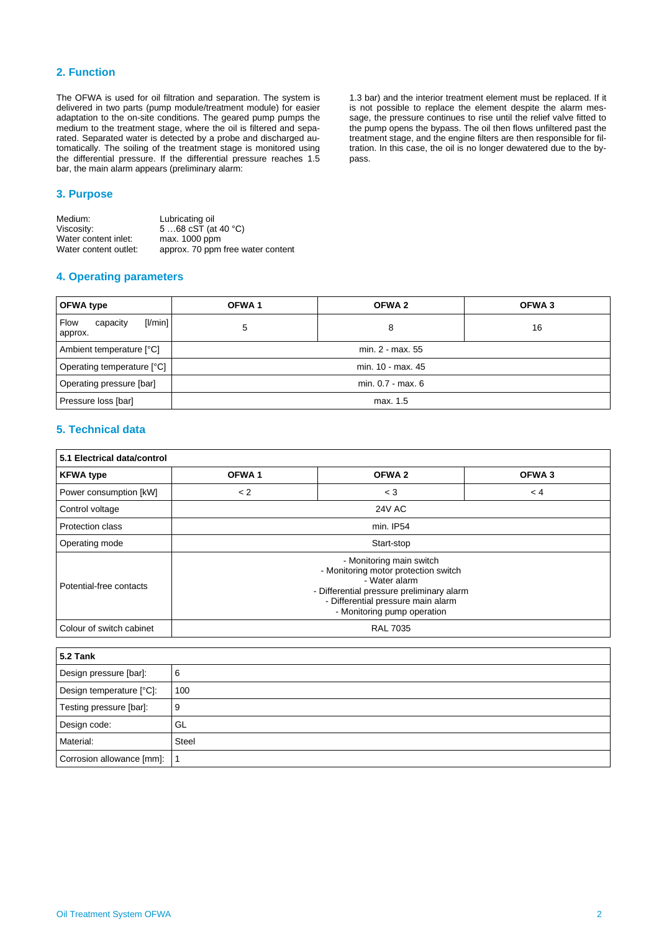### **2. Function**

The OFWA is used for oil filtration and separation. The system is delivered in two parts (pump module/treatment module) for easier adaptation to the on-site conditions. The geared pump pumps the medium to the treatment stage, where the oil is filtered and separated. Separated water is detected by a probe and discharged automatically. The soiling of the treatment stage is monitored using the differential pressure. If the differential pressure reaches 1.5 bar, the main alarm appears (preliminary alarm:

#### **3. Purpose**

| Medium:               | Lubricating oil                   |
|-----------------------|-----------------------------------|
| Viscosity:            | 568 cST (at 40 °C)                |
| Water content inlet:  | max. 1000 ppm                     |
| Water content outlet: | approx. 70 ppm free water content |

#### **4. Operating parameters**

1.3 bar) and the interior treatment element must be replaced. If it is not possible to replace the element despite the alarm message, the pressure continues to rise until the relief valve fitted to the pump opens the bypass. The oil then flows unfiltered past the treatment stage, and the engine filters are then responsible for filtration. In this case, the oil is no longer dewatered due to the bypass.

| <b>OFWA type</b>                       | OFWA <sub>1</sub> | OFWA 2<br>OFWA 3 |    |  |
|----------------------------------------|-------------------|------------------|----|--|
| [1/min]<br>Flow<br>capacity<br>approx. | 5                 |                  | 16 |  |
| Ambient temperature [°C]               | min. 2 - max. 55  |                  |    |  |
| Operating temperature [°C]             | min. 10 - max. 45 |                  |    |  |
| Operating pressure [bar]               | min. 0.7 - max. 6 |                  |    |  |
| Pressure loss [bar]                    | max. 1.5          |                  |    |  |

### **5. Technical data**

| 5.1 Electrical data/control |                   |                                                                                                                                                                                                     |                   |  |  |  |
|-----------------------------|-------------------|-----------------------------------------------------------------------------------------------------------------------------------------------------------------------------------------------------|-------------------|--|--|--|
| <b>KFWA type</b>            | OFWA <sub>1</sub> | OFWA <sub>2</sub>                                                                                                                                                                                   | OFWA <sub>3</sub> |  |  |  |
| Power consumption [kW]      | < 2               | $<$ 3                                                                                                                                                                                               | < 4               |  |  |  |
| Control voltage             |                   | <b>24V AC</b>                                                                                                                                                                                       |                   |  |  |  |
| <b>Protection class</b>     |                   | min. IP54                                                                                                                                                                                           |                   |  |  |  |
| Operating mode              | Start-stop        |                                                                                                                                                                                                     |                   |  |  |  |
| Potential-free contacts     |                   | - Monitoring main switch<br>- Monitoring motor protection switch<br>- Water alarm<br>- Differential pressure preliminary alarm<br>- Differential pressure main alarm<br>- Monitoring pump operation |                   |  |  |  |
| Colour of switch cabinet    |                   | <b>RAL 7035</b>                                                                                                                                                                                     |                   |  |  |  |

| <b>5.2 Tank</b>           |       |  |
|---------------------------|-------|--|
| Design pressure [bar]:    | 6     |  |
| Design temperature [°C]:  | 100   |  |
| Testing pressure [bar]:   | 9     |  |
| Design code:              | GL    |  |
| Material:                 | Steel |  |
| Corrosion allowance [mm]: |       |  |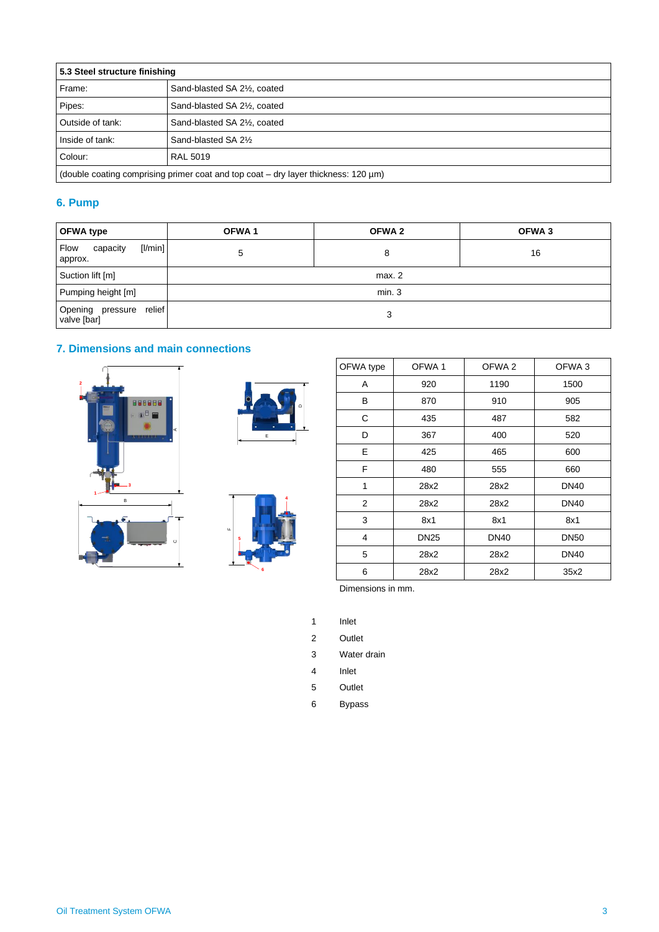| 5.3 Steel structure finishing                                                             |                              |  |
|-------------------------------------------------------------------------------------------|------------------------------|--|
| Frame:                                                                                    | Sand-blasted SA 21/2, coated |  |
| Pipes:                                                                                    | Sand-blasted SA 21/2, coated |  |
| Outside of tank:                                                                          | Sand-blasted SA 21/2, coated |  |
| Inside of tank:                                                                           | Sand-blasted SA 21/2         |  |
| Colour:                                                                                   | <b>RAL 5019</b>              |  |
| (double coating comprising primer coat and top coat $-$ dry layer thickness: 120 $\mu$ m) |                              |  |

## **6. Pump**

| <b>OFWA type</b>                          | OFWA <sub>1</sub> | OFWA 2 | OFWA 3 |
|-------------------------------------------|-------------------|--------|--------|
| [ /min]<br>Flow<br>capacity<br>approx.    | 5                 | 8      | 16     |
| Suction lift [m]                          |                   | max. 2 |        |
| Pumping height [m]                        |                   | min.3  |        |
| Opening pressure<br>relief<br>valve [bar] | 3                 |        |        |

# **7. Dimensions and main connections**





|  | Е |  |
|--|---|--|
|  |   |  |
|  |   |  |
|  |   |  |
|  |   |  |
|  |   |  |
|  |   |  |
|  |   |  |
|  |   |  |
|  |   |  |
|  |   |  |
|  |   |  |
|  |   |  |
|  |   |  |
|  |   |  |
|  |   |  |
|  |   |  |
|  |   |  |
|  |   |  |
|  |   |  |
|  |   |  |
|  |   |  |

|                                              |          | OFWA type | OFWA1       | OFWA <sub>2</sub> | OFWA 3      |
|----------------------------------------------|----------|-----------|-------------|-------------------|-------------|
|                                              |          | Α         | 920         | 1190              | 1500        |
| 888888<br><b>CONTECT</b>                     | $\Omega$ | B         | 870         | 910               | 905         |
| $\cdot$ $\cdot$ $\theta$ $\blacksquare$<br>一 |          | C         | 435         | 487               | 582         |
| Е<br><b>1.111.111</b><br>٠.                  |          | D         | 367         | 400               | 520         |
|                                              |          | Е         | 425         | 465               | 600         |
| a de la                                      |          | F         | 480         | 555               | 660         |
|                                              |          |           | 28x2        | 28x2              | <b>DN40</b> |
| в                                            |          | 2         | 28x2        | 28x2              | <b>DN40</b> |
| $\mathbf{u}$<br>5<br>a a s<br>$\circ$        |          | 3         | 8x1         | 8x1               | 8x1         |
|                                              |          | 4         | <b>DN25</b> | <b>DN40</b>       | <b>DN50</b> |
|                                              |          | 5         | 28x2        | 28x2              | <b>DN40</b> |
|                                              |          | 6         | 28x2        | 28x2              | 35x2        |

Dimensions in mm.

- 1 Inlet
- 2 Outlet
- 3 Water drain
- 4 Inlet
- 5 Outlet
- 6 Bypass